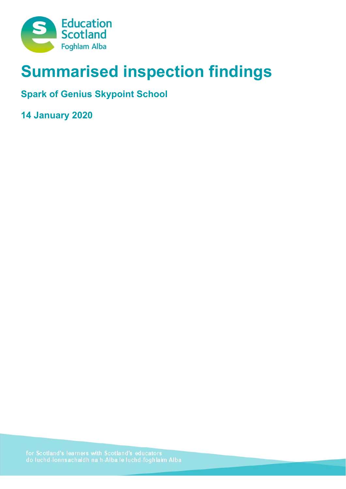

# **Summarised inspection findings**

**Spark of Genius Skypoint School** 

**14 January 2020**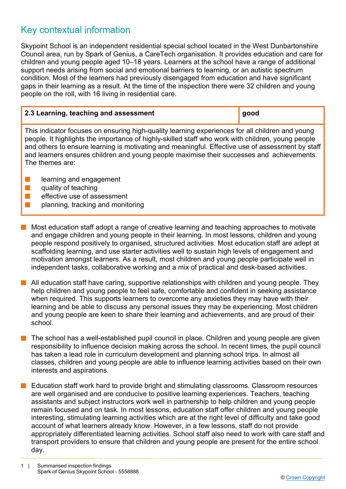# Key contextual information

Skypoint School is an independent residential special school located in the West Dunbartonshire Council area, run by Spark of Genius, a CareTech organisation. It provides education and care for children and young people aged 10–18 years. Learners at the school have a range of additional support needs arising from social and emotional barriers to learning, or an autistic spectrum condition. Most of the learners had previously disengaged from education and have significant gaps in their learning as a result. At the time of the inspection there were 32 children and young people on the roll, with 16 living in residential care.

| 2.3 Learning, teaching and assessment                                                                                                                                                                                                                                                                                                                                                                 | good |
|-------------------------------------------------------------------------------------------------------------------------------------------------------------------------------------------------------------------------------------------------------------------------------------------------------------------------------------------------------------------------------------------------------|------|
| This indicator focuses on ensuring high-quality learning experiences for all children and young<br>people. It highlights the importance of highly-skilled staff who work with children, young people<br>and others to ensure learning is motivating and meaningful. Effective use of assessment by staff<br>and learners ensures children and young people maximise their successes and achievements. |      |

- $\blacksquare$  learning and engagement
- $\blacksquare$  quality of teaching

The themes are:

- $\blacksquare$  effective use of assessment
	- planning, tracking and monitoring
- $\blacksquare$  Most education staff adopt a range of creative learning and teaching approaches to motivate and engage children and young people in their learning. In most lessons, children and young people respond positively to organised, structured activities. Most education staff are adept at scaffolding learning, and use starter activities well to sustain high levels of engagement and motivation amongst learners. As a result, most children and young people participate well in independent tasks, collaborative working and a mix of practical and desk-based activities.
- All education staff have caring, supportive relationships with children and young people. They help children and young people to feel safe, comfortable and confident in seeking assistance when required. This supports learners to overcome any anxieties they may have with their learning and be able to discuss any personal issues they may be experiencing. Most children and young people are keen to share their learning and achievements, and are proud of their school.
- The school has a well-established pupil council in place. Children and young people are given responsibility to influence decision making across the school. In recent times, the pupil council has taken a lead role in curriculum development and planning school trips. In almost all classes, children and young people are able to influence learning activities based on their own interests and aspirations.
- n Education staff work hard to provide bright and stimulating classrooms. Classroom resources are well organised and are conducive to positive learning experiences. Teachers, teaching assistants and subject instructors work well in partnership to help children and young people remain focused and on task. In most lessons, education staff offer children and young people interesting, stimulating learning activities which are at the right level of difficulty and take good account of what learners already know. However, in a few lessons, staff do not provide appropriately differentiated learning activities. School staff also need to work with care staff and transport providers to ensure that children and young people are present for the entire school day.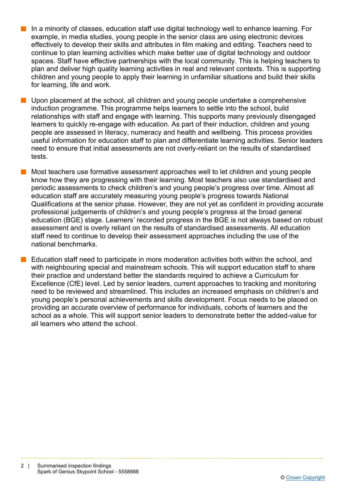- In a minority of classes, education staff use digital technology well to enhance learning. For example, in media studies, young people in the senior class are using electronic devices effectively to develop their skills and attributes in film making and editing. Teachers need to continue to plan learning activities which make better use of digital technology and outdoor spaces. Staff have effective partnerships with the local community. This is helping teachers to plan and deliver high quality learning activities in real and relevant contexts. This is supporting children and young people to apply their learning in unfamiliar situations and build their skills for learning, life and work.
- Upon placement at the school, all children and young people undertake a comprehensive induction programme. This programme helps learners to settle into the school, build relationships with staff and engage with learning. This supports many previously disengaged learners to quickly re-engage with education. As part of their induction, children and young people are assessed in literacy, numeracy and health and wellbeing. This process provides useful information for education staff to plan and differentiate learning activities. Senior leaders need to ensure that initial assessments are not overly-reliant on the results of standardised tests.
- n Most teachers use formative assessment approaches well to let children and young people know how they are progressing with their learning. Most teachers also use standardised and periodic assessments to check children's and young people's progress over time. Almost all education staff are accurately measuring young people's progress towards National Qualifications at the senior phase. However, they are not yet as confident in providing accurate professional judgements of children's and young people's progress at the broad general education (BGE) stage. Learners' recorded progress in the BGE is not always based on robust assessment and is overly reliant on the results of standardised assessments. All education staff need to continue to develop their assessment approaches including the use of the national benchmarks.
- n Education staff need to participate in more moderation activities both within the school, and with neighbouring special and mainstream schools. This will support education staff to share their practice and understand better the standards required to achieve a Curriculum for Excellence (CfE) level. Led by senior leaders, current approaches to tracking and monitoring need to be reviewed and streamlined. This includes an increased emphasis on children's and young people's personal achievements and skills development. Focus needs to be placed on providing an accurate overview of performance for individuals, cohorts of learners and the school as a whole. This will support senior leaders to demonstrate better the added-value for all learners who attend the school.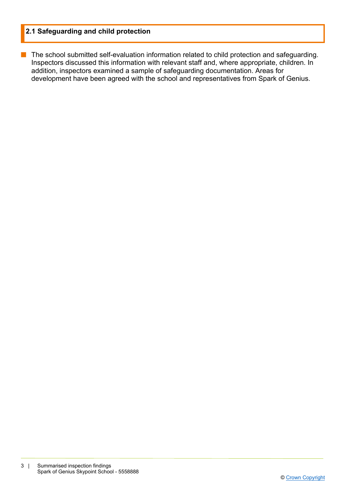## **2.1 Safeguarding and child protection**

■ The school submitted self-evaluation information related to child protection and safeguarding. Inspectors discussed this information with relevant staff and, where appropriate, children. In addition, inspectors examined a sample of safeguarding documentation. Areas for development have been agreed with the school and representatives from Spark of Genius.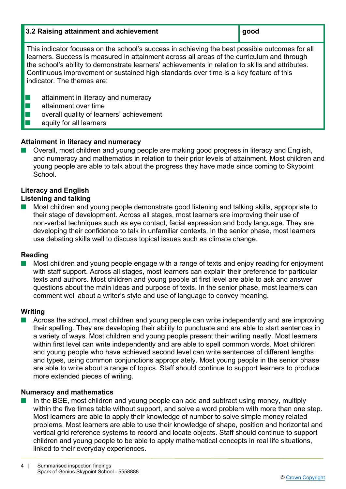#### **3.2 Raising attainment and achievement good**

This indicator focuses on the school's success in achieving the best possible outcomes for all learners. Success is measured in attainment across all areas of the curriculum and through the school's ability to demonstrate learners' achievements in relation to skills and attributes. Continuous improvement or sustained high standards over time is a key feature of this indicator. The themes are:

- $\blacksquare$  attainment in literacy and numeracy
- $\blacksquare$  attainment over time
- $\blacksquare$  overall quality of learners' achievement
- $\blacksquare$  equity for all learners

# **Attainment in literacy and numeracy**

Overall, most children and young people are making good progress in literacy and English, and numeracy and mathematics in relation to their prior levels of attainment. Most children and young people are able to talk about the progress they have made since coming to Skypoint School.

### **Literacy and English Listening and talking**

n Most children and young people demonstrate good listening and talking skills, appropriate to their stage of development. Across all stages, most learners are improving their use of non-verbal techniques such as eye contact, facial expression and body language. They are developing their confidence to talk in unfamiliar contexts. In the senior phase, most learners use debating skills well to discuss topical issues such as climate change.

# **Reading**

Most children and young people engage with a range of texts and enjoy reading for enjoyment with staff support. Across all stages, most learners can explain their preference for particular texts and authors. Most children and young people at first level are able to ask and answer questions about the main ideas and purpose of texts. In the senior phase, most learners can comment well about a writer's style and use of language to convey meaning.

# **Writing**

n Across the school, most children and young people can write independently and are improving their spelling. They are developing their ability to punctuate and are able to start sentences in a variety of ways. Most children and young people present their writing neatly. Most learners within first level can write independently and are able to spell common words. Most children and young people who have achieved second level can write sentences of different lengths and types, using common conjunctions appropriately. Most young people in the senior phase are able to write about a range of topics. Staff should continue to support learners to produce more extended pieces of writing.

## **Numeracy and mathematics**

n In the BGE, most children and young people can add and subtract using money, multiply within the five times table without support, and solve a word problem with more than one step. Most learners are able to apply their knowledge of number to solve simple money related problems. Most learners are able to use their knowledge of shape, position and horizontal and vertical grid reference systems to record and locate objects. Staff should continue to support children and young people to be able to apply mathematical concepts in real life situations, linked to their everyday experiences.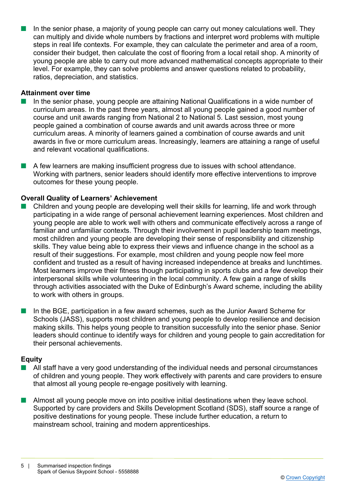n In the senior phase, a majority of young people can carry out money calculations well. They can multiply and divide whole numbers by fractions and interpret word problems with multiple steps in real life contexts. For example, they can calculate the perimeter and area of a room, consider their budget, then calculate the cost of flooring from a local retail shop. A minority of young people are able to carry out more advanced mathematical concepts appropriate to their level. For example, they can solve problems and answer questions related to probability, ratios, depreciation, and statistics.

#### **Attainment over time**

- n In the senior phase, young people are attaining National Qualifications in a wide number of curriculum areas. In the past three years, almost all young people gained a good number of course and unit awards ranging from National 2 to National 5. Last session, most young people gained a combination of course awards and unit awards across three or more curriculum areas. A minority of learners gained a combination of course awards and unit awards in five or more curriculum areas. Increasingly, learners are attaining a range of useful and relevant vocational qualifications.
- n A few learners are making insufficient progress due to issues with school attendance. Working with partners, senior leaders should identify more effective interventions to improve outcomes for these young people.

#### **Overall Quality of Learners' Achievement**

- Children and young people are developing well their skills for learning, life and work through participating in a wide range of personal achievement learning experiences. Most children and young people are able to work well with others and communicate effectively across a range of familiar and unfamiliar contexts. Through their involvement in pupil leadership team meetings, most children and young people are developing their sense of responsibility and citizenship skills. They value being able to express their views and influence change in the school as a result of their suggestions. For example, most children and young people now feel more confident and trusted as a result of having increased independence at breaks and lunchtimes. Most learners improve their fitness though participating in sports clubs and a few develop their interpersonal skills while volunteering in the local community. A few gain a range of skills through activities associated with the Duke of Edinburgh's Award scheme, including the ability to work with others in groups.
- n In the BGE, participation in a few award schemes, such as the Junior Award Scheme for Schools (JASS), supports most children and young people to develop resilience and decision making skills. This helps young people to transition successfully into the senior phase. Senior leaders should continue to identify ways for children and young people to gain accreditation for their personal achievements.

#### **Equity**

- All staff have a very good understanding of the individual needs and personal circumstances of children and young people. They work effectively with parents and care providers to ensure that almost all young people re-engage positively with learning.
- Almost all young people move on into positive initial destinations when they leave school. Supported by care providers and Skills Development Scotland (SDS), staff source a range of positive destinations for young people. These include further education, a return to mainstream school, training and modern apprenticeships.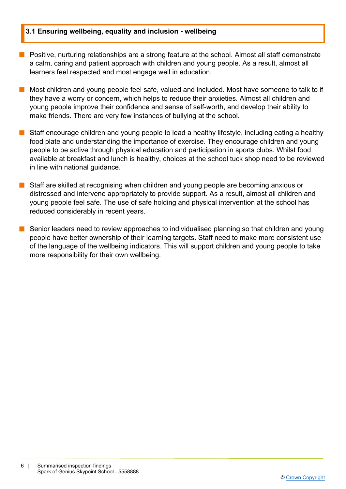#### **3.1 Ensuring wellbeing, equality and inclusion - wellbeing**

- **n** Positive, nurturing relationships are a strong feature at the school. Almost all staff demonstrate a calm, caring and patient approach with children and young people. As a result, almost all learners feel respected and most engage well in education.
- n Most children and young people feel safe, valued and included. Most have someone to talk to if they have a worry or concern, which helps to reduce their anxieties. Almost all children and young people improve their confidence and sense of self-worth, and develop their ability to make friends. There are very few instances of bullying at the school.
- $\blacksquare$  Staff encourage children and young people to lead a healthy lifestyle, including eating a healthy food plate and understanding the importance of exercise. They encourage children and young people to be active through physical education and participation in sports clubs. Whilst food available at breakfast and lunch is healthy, choices at the school tuck shop need to be reviewed in line with national guidance.
- $\blacksquare$  Staff are skilled at recognising when children and young people are becoming anxious or distressed and intervene appropriately to provide support. As a result, almost all children and young people feel safe. The use of safe holding and physical intervention at the school has reduced considerably in recent years.
- n Senior leaders need to review approaches to individualised planning so that children and young people have better ownership of their learning targets. Staff need to make more consistent use of the language of the wellbeing indicators. This will support children and young people to take more responsibility for their own wellbeing.